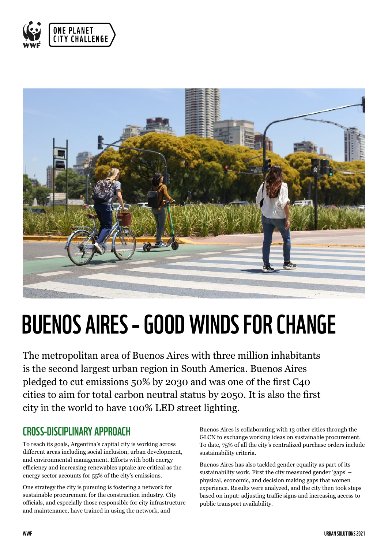



# BUENOS AIRES – GOOD WINDS FOR CHANGE

The metropolitan area of Buenos Aires with three million inhabitants is the second largest urban region in South America. Buenos Aires pledged to cut emissions 50% by 2030 and was one of the first C40 cities to aim for total carbon neutral status by 2050. It is also the first city in the world to have 100% LED street lighting.

#### CROSS-DISCIPLINARY APPROACH

To reach its goals, Argentina's capital city is working across different areas including social inclusion, urban development, and environmental management. Efforts with both energy efficiency and increasing renewables uptake are critical as the energy sector accounts for 55% of the city's emissions.

One strategy the city is pursuing is fostering a network for sustainable procurement for the construction industry. City officials, and especially those responsible for city infrastructure and maintenance, have trained in using the network, and

Buenos Aires is collaborating with 13 other cities through the GLCN to exchange working ideas on sustainable procurement. To date, 75% of all the city's centralized purchase orders include sustainability criteria.

Buenos Aires has also tackled gender equality as part of its sustainability work. First the city measured gender 'gaps' – physical, economic, and decision making gaps that women experience. Results were analyzed, and the city then took steps based on input: adjusting traffic signs and increasing access to public transport availability.